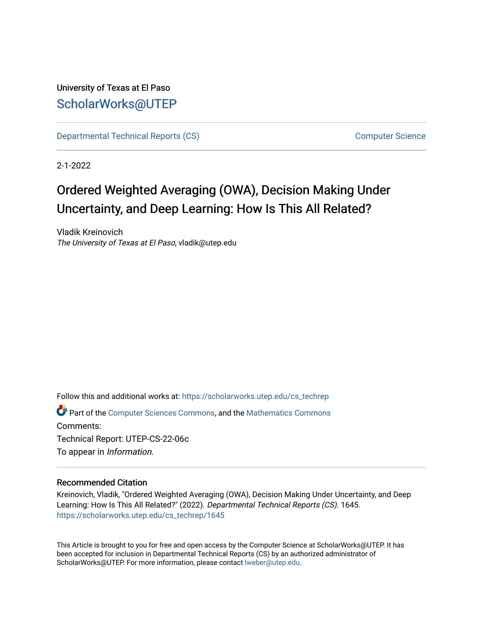# University of Texas at El Paso [ScholarWorks@UTEP](https://scholarworks.utep.edu/)

[Departmental Technical Reports \(CS\)](https://scholarworks.utep.edu/cs_techrep) [Computer Science](https://scholarworks.utep.edu/computer) 

2-1-2022

# Ordered Weighted Averaging (OWA), Decision Making Under Uncertainty, and Deep Learning: How Is This All Related?

Vladik Kreinovich The University of Texas at El Paso, vladik@utep.edu

Follow this and additional works at: [https://scholarworks.utep.edu/cs\\_techrep](https://scholarworks.utep.edu/cs_techrep?utm_source=scholarworks.utep.edu%2Fcs_techrep%2F1645&utm_medium=PDF&utm_campaign=PDFCoverPages) 

Part of the [Computer Sciences Commons](http://network.bepress.com/hgg/discipline/142?utm_source=scholarworks.utep.edu%2Fcs_techrep%2F1645&utm_medium=PDF&utm_campaign=PDFCoverPages), and the [Mathematics Commons](http://network.bepress.com/hgg/discipline/174?utm_source=scholarworks.utep.edu%2Fcs_techrep%2F1645&utm_medium=PDF&utm_campaign=PDFCoverPages)  Comments:

Technical Report: UTEP-CS-22-06c To appear in Information.

# Recommended Citation

Kreinovich, Vladik, "Ordered Weighted Averaging (OWA), Decision Making Under Uncertainty, and Deep Learning: How Is This All Related?" (2022). Departmental Technical Reports (CS). 1645. [https://scholarworks.utep.edu/cs\\_techrep/1645](https://scholarworks.utep.edu/cs_techrep/1645?utm_source=scholarworks.utep.edu%2Fcs_techrep%2F1645&utm_medium=PDF&utm_campaign=PDFCoverPages) 

This Article is brought to you for free and open access by the Computer Science at ScholarWorks@UTEP. It has been accepted for inclusion in Departmental Technical Reports (CS) by an authorized administrator of ScholarWorks@UTEP. For more information, please contact [lweber@utep.edu](mailto:lweber@utep.edu).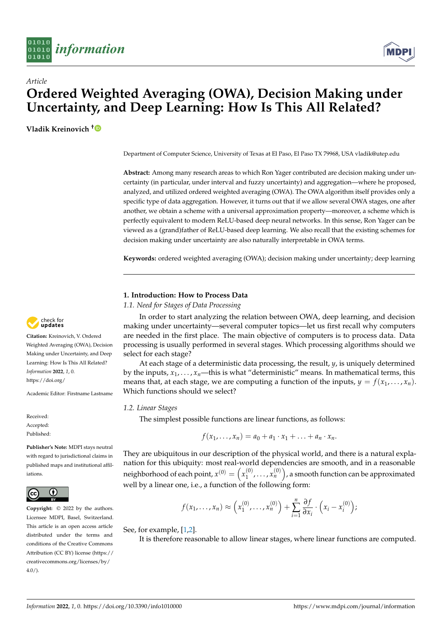



# *Article* **Ordered Weighted Averaging (OWA), Decision Making under Uncertainty, and Deep Learning: How Is This All Related?**

**Vladik Kreinovich [†](https://orcid.org/0000-0002-1244-1650)**

Department of Computer Science, University of Texas at El Paso, El Paso TX 79968, USA vladik@utep.edu

**Abstract:** Among many research areas to which Ron Yager contributed are decision making under uncertainty (in particular, under interval and fuzzy uncertainty) and aggregation—where he proposed, analyzed, and utilized ordered weighted averaging (OWA). The OWA algorithm itself provides only a specific type of data aggregation. However, it turns out that if we allow several OWA stages, one after another, we obtain a scheme with a universal approximation property—moreover, a scheme which is perfectly equivalent to modern ReLU-based deep neural networks. In this sense, Ron Yager can be viewed as a (grand)father of ReLU-based deep learning. We also recall that the existing schemes for decision making under uncertainty are also naturally interpretable in OWA terms.

**Keywords:** ordered weighted averaging (OWA); decision making under uncertainty; deep learning

# **1. Introduction: How to Process Data**

*1.1. Need for Stages of Data Processing*

In order to start analyzing the relation between OWA, deep learning, and decision making under uncertainty—several computer topics—let us first recall why computers are needed in the first place. The main objective of computers is to process data. Data processing is usually performed in several stages. Which processing algorithms should we select for each stage?

At each stage of a deterministic data processing, the result, *y*, is uniquely determined by the inputs,  $x_1, \ldots, x_n$ —this is what "deterministic" means. In mathematical terms, this means that, at each stage, we are computing a function of the inputs,  $y = f(x_1, \ldots, x_n)$ . Which functions should we select?

# *1.2. Linear Stages*

The simplest possible functions are linear functions, as follows:

$$
f(x_1,\ldots,x_n)=a_0+a_1\cdot x_1+\ldots+a_n\cdot x_n.
$$

They are ubiquitous in our description of the physical world, and there is a natural explanation for this ubiquity: most real-world dependencies are smooth, and in a reasonable neighborhood of each point,  $x^{(0)} = \left(x_1^{(0)}\right)^2$  $\binom{(0)}{1}, \ldots, \binom{(0)}{n}$ , a smooth function can be approximated well by a linear one, i.e., a function of the following form:

$$
f(x_1,\ldots,x_n)\approx\left(x_1^{(0)},\ldots,x_n^{(0)}\right)+\sum_{i=1}^n\frac{\partial f}{\partial x_i}\cdot\left(x_i-x_i^{(0)}\right);
$$

See, for example, [\[1](#page-7-0)[,2\]](#page-7-1).

It is therefore reasonable to allow linear stages, where linear functions are computed.



**Citation:** Kreinovich, V. Ordered Weighted Averaging (OWA), Decision Making under Uncertainty, and Deep Learning: How Is This All Related? *Information* **2022**, *1*, 0. [https://doi.org/](https://doi.org/10.3390/info1010000)

Academic Editor: Firstname Lastname

Received: Accepted: Published:

**Publisher's Note:** MDPI stays neutral with regard to jurisdictional claims in published maps and institutional affiliations.



**Copyright:** © 2022 by the authors. Licensee MDPI, Basel, Switzerland. This article is an open access article distributed under the terms and conditions of the Creative Commons Attribution (CC BY) license [\(https://](https://creativecommons.org/licenses/by/4.0/) [creativecommons.org/licenses/by/](https://creativecommons.org/licenses/by/4.0/)  $4.0/$ ).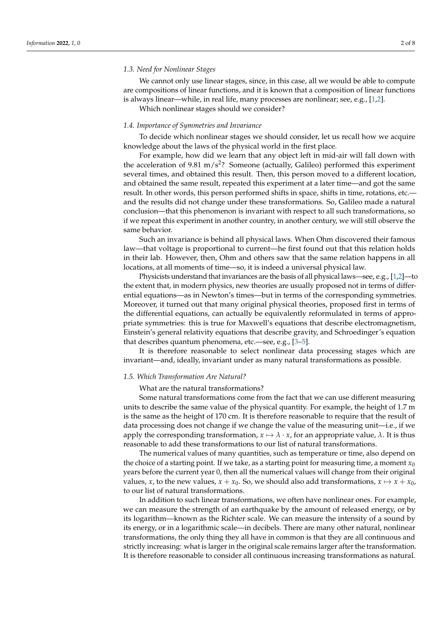We cannot only use linear stages, since, in this case, all we would be able to compute are compositions of linear functions, and it is known that a composition of linear functions is always linear—while, in real life, many processes are nonlinear; see, e.g., [\[1,](#page-7-0)[2\]](#page-7-1). Which nonlinear stages should we consider?

# *1.4. Importance of Symmetries and Invariance*

To decide which nonlinear stages we should consider, let us recall how we acquire knowledge about the laws of the physical world in the first place.

For example, how did we learn that any object left in mid-air will fall down with the acceleration of 9.81 m/s<sup>2</sup>? Someone (actually, Galileo) performed this experiment several times, and obtained this result. Then, this person moved to a different location, and obtained the same result, repeated this experiment at a later time—and got the same result. In other words, this person performed shifts in space, shifts in time, rotations, etc. and the results did not change under these transformations. So, Galileo made a natural conclusion—that this phenomenon is invariant with respect to all such transformations, so if we repeat this experiment in another country, in another century, we will still observe the same behavior.

Such an invariance is behind all physical laws. When Ohm discovered their famous law—that voltage is proportional to current—he first found out that this relation holds in their lab. However, then, Ohm and others saw that the same relation happens in all locations, at all moments of time—so, it is indeed a universal physical law.

Physicists understand that invariances are the basis of all physical laws—see, e.g., [\[1](#page-7-0)[,2\]](#page-7-1)—to the extent that, in modern physics, new theories are usually proposed not in terms of differential equations—as in Newton's times—but in terms of the corresponding symmetries. Moreover, it turned out that many original physical theories, proposed first in terms of the differential equations, can actually be equivalently reformulated in terms of appropriate symmetries: this is true for Maxwell's equations that describe electromagnetism, Einstein's general relativity equations that describe gravity, and Schroedinger's equation that describes quantum phenomena, etc.—see, e.g., [\[3–](#page-7-2)[5\]](#page-7-3).

It is therefore reasonable to select nonlinear data processing stages which are invariant—and, ideally, invariant under as many natural transformations as possible.

### *1.5. Which Transformation Are Natural?*

What are the natural transformations?

Some natural transformations come from the fact that we can use different measuring units to describe the same value of the physical quantity. For example, the height of 1.7 m is the same as the height of 170 cm. It is therefore reasonable to require that the result of data processing does not change if we change the value of the measuring unit—i.e., if we apply the corresponding transformation,  $x \mapsto \lambda \cdot x$ , for an appropriate value,  $\lambda$ . It is thus reasonable to add these transformations to our list of natural transformations.

The numerical values of many quantities, such as temperature or time, also depend on the choice of a starting point. If we take, as a starting point for measuring time, a moment  $x_0$ years before the current year 0, then all the numerical values will change from their original values, *x*, to the new values,  $x + x_0$ . So, we should also add transformations,  $x \mapsto x + x_0$ , to our list of natural transformations.

In addition to such linear transformations, we often have nonlinear ones. For example, we can measure the strength of an earthquake by the amount of released energy, or by its logarithm—known as the Richter scale. We can measure the intensity of a sound by its energy, or in a logarithmic scale—in decibels. There are many other natural, nonlinear transformations, the only thing they all have in common is that they are all continuous and strictly increasing: what is larger in the original scale remains larger after the transformation. It is therefore reasonable to consider all continuous increasing transformations as natural.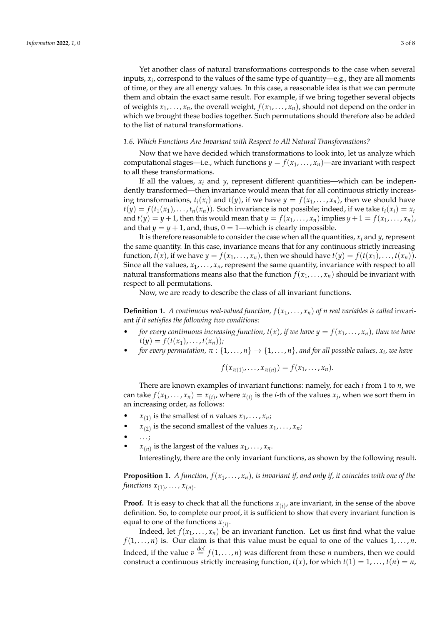Yet another class of natural transformations corresponds to the case when several inputs, *x<sup>i</sup>* , correspond to the values of the same type of quantity—e.g., they are all moments of time, or they are all energy values. In this case, a reasonable idea is that we can permute them and obtain the exact same result. For example, if we bring together several objects of weights  $x_1, \ldots, x_n$ , the overall weight,  $f(x_1, \ldots, x_n)$ , should not depend on the order in which we brought these bodies together. Such permutations should therefore also be added to the list of natural transformations.

## *1.6. Which Functions Are Invariant with Respect to All Natural Transformations?*

Now that we have decided which transformations to look into, let us analyze which computational stages—i.e., which functions  $y = f(x_1, \ldots, x_n)$ —are invariant with respect to all these transformations.

If all the values,  $x_i$  and  $y$ , represent different quantities—which can be independently transformed—then invariance would mean that for all continuous strictly increasing transformations,  $t_i(x_i)$  and  $t(y)$ , if we have  $y = f(x_1, \ldots, x_n)$ , then we should have  $t(y) = f(t_1(x_1), \ldots, t_n(x_n))$ . Such invariance is not possible; indeed, if we take  $t_i(x_i) = x_i$ and  $t(y) = y + 1$ , then this would mean that  $y = f(x_1, \ldots, x_n)$  implies  $y + 1 = f(x_1, \ldots, x_n)$ , and that  $y = y + 1$ , and, thus,  $0 = 1$ —which is clearly impossible.

It is therefore reasonable to consider the case when all the quantities,  $x_i$  and  $y$ , represent the same quantity. In this case, invariance means that for any continuous strictly increasing function,  $t(x)$ , if we have  $y = f(x_1, \ldots, x_n)$ , then we should have  $t(y) = f(t(x_1), \ldots, t(x_n))$ . Since all the values,  $x_1, \ldots, x_n$ , represent the same quantity, invariance with respect to all natural transformations means also that the function  $f(x_1, \ldots, x_n)$  should be invariant with respect to all permutations.

Now, we are ready to describe the class of all invariant functions.

**Definition 1.** *A continuous real-valued function,*  $f(x_1, \ldots, x_n)$  *of n real variables is called* invariant *if it satisfies the following two conditions:*

- *for every continuous increasing function,*  $t(x)$ *, if we have*  $y = f(x_1, \ldots, x_n)$ *, then we have*  $t(y) = f(t(x_1), \ldots, t(x_n))$ ;
- *for every permutation,*  $\pi$  :  $\{1, \ldots, n\} \rightarrow \{1, \ldots, n\}$ , and for all possible values,  $x_i$ , we have

$$
f(x_{\pi(1)},\ldots,x_{\pi(n)})=f(x_1,\ldots,x_n).
$$

There are known examples of invariant functions: namely, for each *i* from 1 to *n*, we can take  $f(x_1,...,x_n) = x_{(i)}$ , where  $x_{(i)}$  is the *i*-th of the values  $x_j$ , when we sort them in an increasing order, as follows:

- $x_{(1)}$  is the smallest of *n* values  $x_1, \ldots, x_n$ ;
- $x_{(2)}$  is the second smallest of the values  $x_1, \ldots, x_n$ ;
- . . . ;
- $x_{(n)}$  is the largest of the values  $x_1, \ldots, x_n$ .

Interestingly, there are the only invariant functions, as shown by the following result.

**Proposition 1.** *A function,*  $f(x_1, \ldots, x_n)$ *, is invariant if, and only if, it coincides with one of the* functions  $x_{(1)}$ ,  $\dots$ ,  $x_{(n)}$ .

**Proof.** It is easy to check that all the functions  $x_{(i)}$ , are invariant, in the sense of the above definition. So, to complete our proof, it is sufficient to show that every invariant function is equal to one of the functions  $x_{(i)}$ .

Indeed, let  $f(x_1, \ldots, x_n)$  be an invariant function. Let us first find what the value  $f(1, \ldots, n)$  is. Our claim is that this value must be equal to one of the values  $1, \ldots, n$ . Indeed, if the value  $v \stackrel{\text{def}}{=} f(1,\ldots,n)$  was different from these *n* numbers, then we could construct a continuous strictly increasing function,  $t(x)$ , for which  $t(1) = 1, ..., t(n) = n$ ,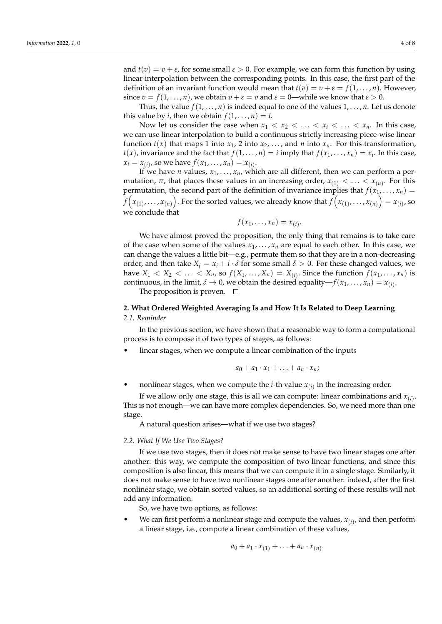and  $t(v) = v + \varepsilon$ , for some small  $\varepsilon > 0$ . For example, we can form this function by using linear interpolation between the corresponding points. In this case, the first part of the definition of an invariant function would mean that  $t(v) = v + \varepsilon = f(1, \ldots, n)$ . However, since  $v = f(1, \ldots, n)$ , we obtain  $v + \varepsilon = v$  and  $\varepsilon = 0$ —while we know that  $\varepsilon > 0$ .

Thus, the value  $f(1, \ldots, n)$  is indeed equal to one of the values  $1, \ldots, n$ . Let us denote this value by *i*, then we obtain  $f(1, \ldots, n) = i$ .

Now let us consider the case when  $x_1 < x_2 < \ldots < x_i < \ldots < x_n$ . In this case, we can use linear interpolation to build a continuous strictly increasing piece-wise linear function  $t(x)$  that maps 1 into  $x_1$ , 2 into  $x_2$ , ..., and *n* into  $x_n$ . For this transformation,  $t(x)$ , invariance and the fact that  $f(1, \ldots, n) = i$  imply that  $f(x_1, \ldots, x_n) = x_i$ . In this case,  $x_i = x_{(i)}$ , so we have  $f(x_1, ..., x_n) = x_{(i)}$ .

If we have *n* values,  $x_1, \ldots, x_n$ , which are all different, then we can perform a permutation,  $\pi$ , that places these values in an increasing order,  $x_{(1)} < \ldots < x_{(n)}$ . For this permutation, the second part of the definition of invariance implies that  $f(x_1, \ldots, x_n)$  =  $f\Big(x_{(1)}, \dots, x_{(n)}\Big)$  . For the sorted values, we already know that  $f\Big(x_{(1)}, \dots, x_{(n)}\Big) = x_{(i)}$ , so we conclude that

$$
f(x_1,\ldots,x_n)=x_{(i)}
$$

.

We have almost proved the proposition, the only thing that remains is to take care of the case when some of the values  $x_1, \ldots, x_n$  are equal to each other. In this case, we can change the values a little bit—e.g., permute them so that they are in a non-decreasing order, and then take  $X_i = x_i + i \cdot \delta$  for some small  $\delta > 0$ . For these changed values, we have  $X_1 < X_2 < \ldots < X_n$ , so  $f(X_1, \ldots, X_n) = X_{(i)}$ . Since the function  $f(x_1, \ldots, x_n)$  is continuous, in the limit,  $\delta \to 0$ , we obtain the desired equality— $f(x_1, \ldots, x_n) = x_{(i)}$ .

The proposition is proven.  $\Box$ 

# **2. What Ordered Weighted Averaging Is and How It Is Related to Deep Learning** *2.1. Reminder*

In the previous section, we have shown that a reasonable way to form a computational process is to compose it of two types of stages, as follows:

linear stages, when we compute a linear combination of the inputs

$$
a_0 + a_1 \cdot x_1 + \ldots + a_n \cdot x_n;
$$

• nonlinear stages, when we compute the *i*-th value  $x_{(i)}$  in the increasing order.

If we allow only one stage, this is all we can compute: linear combinations and  $x_{(i)}$ . This is not enough—we can have more complex dependencies. So, we need more than one stage.

A natural question arises—what if we use two stages?

#### *2.2. What If We Use Two Stages?*

If we use two stages, then it does not make sense to have two linear stages one after another: this way, we compute the composition of two linear functions, and since this composition is also linear, this means that we can compute it in a single stage. Similarly, it does not make sense to have two nonlinear stages one after another: indeed, after the first nonlinear stage, we obtain sorted values, so an additional sorting of these results will not add any information.

So, we have two options, as follows:

• We can first perform a nonlinear stage and compute the values,  $x_{(i)}$ , and then perform a linear stage, i.e., compute a linear combination of these values,

$$
a_0+a_1\cdot x_{(1)}+\ldots+a_n\cdot x_{(n)}.
$$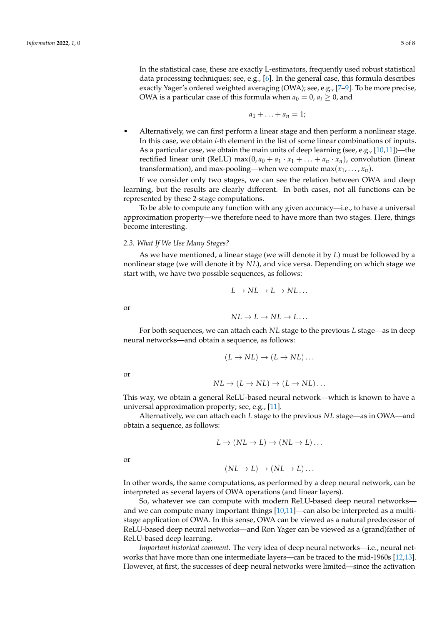In the statistical case, these are exactly L-estimators, frequently used robust statistical data processing techniques; see, e.g.,  $[6]$ . In the general case, this formula describes exactly Yager's ordered weighted averaging (OWA); see, e.g., [\[7](#page-7-5)[–9\]](#page-7-6). To be more precise, OWA is a particular case of this formula when  $a_0 = 0$ ,  $a_i \geq 0$ , and

$$
a_1+\ldots+a_n=1;
$$

• Alternatively, we can first perform a linear stage and then perform a nonlinear stage. In this case, we obtain *i*-th element in the list of some linear combinations of inputs. As a particular case, we obtain the main units of deep learning (see, e.g.,  $[10,11]$  $[10,11]$ )—the rectified linear unit (ReLU) max $(0, a_0 + a_1 \cdot x_1 + \ldots + a_n \cdot x_n)$ , convolution (linear transformation), and max-pooling—when we compute max $(x_1, \ldots, x_n)$ .

If we consider only two stages, we can see the relation between OWA and deep learning, but the results are clearly different. In both cases, not all functions can be represented by these 2-stage computations.

To be able to compute any function with any given accuracy—i.e., to have a universal approximation property—we therefore need to have more than two stages. Here, things become interesting.

### *2.3. What If We Use Many Stages?*

As we have mentioned, a linear stage (we will denote it by *L*) must be followed by a nonlinear stage (we will denote it by *NL*), and vice versa. Depending on which stage we start with, we have two possible sequences, as follows:

$$
L \to NL \to L \to NL \ldots
$$

or

$$
NL \to L \to NL \to L \dots
$$

For both sequences, we can attach each *NL* stage to the previous *L* stage—as in deep neural networks—and obtain a sequence, as follows:

$$
(L \to NL) \to (L \to NL) \dots
$$

or

$$
NL \to (L \to NL) \to (L \to NL) \dots
$$

This way, we obtain a general ReLU-based neural network—which is known to have a universal approximation property; see, e.g., [\[11\]](#page-7-8).

Alternatively, we can attach each *L* stage to the previous *NL* stage—as in OWA—and obtain a sequence, as follows:

$$
L \to (NL \to L) \to (NL \to L) \dots
$$

or

$$
(NL \to L) \to (NL \to L) \dots
$$

In other words, the same computations, as performed by a deep neural network, can be interpreted as several layers of OWA operations (and linear layers).

So, whatever we can compute with modern ReLU-based deep neural networks and we can compute many important things [\[10,](#page-7-7)[11\]](#page-7-8)—can also be interpreted as a multistage application of OWA. In this sense, OWA can be viewed as a natural predecessor of ReLU-based deep neural networks—and Ron Yager can be viewed as a (grand)father of ReLU-based deep learning.

*Important historical comment*. The very idea of deep neural networks-i.e., neural networks that have more than one intermediate layers—can be traced to the mid-1960s [\[12](#page-7-9)[,13\]](#page-7-10). However, at first, the successes of deep neural networks were limited—since the activation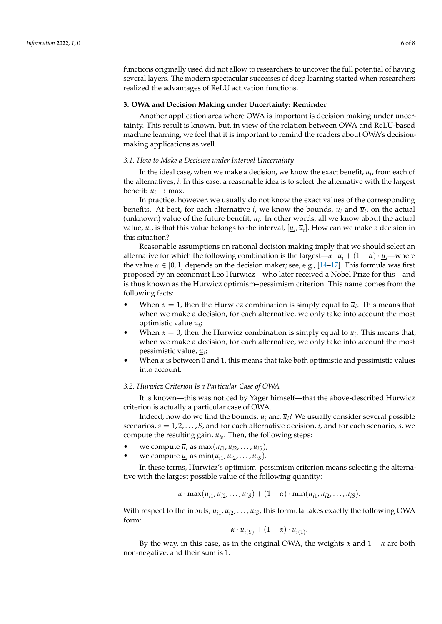functions originally used did not allow to researchers to uncover the full potential of having several layers. The modern spectacular successes of deep learning started when researchers realized the advantages of ReLU activation functions.

#### **3. OWA and Decision Making under Uncertainty: Reminder**

Another application area where OWA is important is decision making under uncertainty. This result is known, but, in view of the relation between OWA and ReLU-based machine learning, we feel that it is important to remind the readers about OWA's decisionmaking applications as well.

### *3.1. How to Make a Decision under Interval Uncertainty*

In the ideal case, when we make a decision, we know the exact benefit, *u<sup>i</sup>* , from each of the alternatives, *i*. In this case, a reasonable idea is to select the alternative with the largest benefit:  $u_i \rightarrow \text{max}$ .

In practice, however, we usually do not know the exact values of the corresponding benefits. At best, for each alternative *i*, we know the bounds,  $\underline{u}_i$  and  $\overline{u}_i$ , on the actual  $(unknown)$  value of the future benefit,  $u_i$ . In other words, all we know about the actual value,  $u_i$ , is that this value belongs to the interval,  $[\underline{u}_i, \overline{u}_i]$ . How can we make a decision in this situation?

Reasonable assumptions on rational decision making imply that we should select an alternative for which the following combination is the largest— $\alpha \cdot \overline{u}_i + (1 - \alpha) \cdot u_i$ —where the value  $\alpha \in [0,1]$  depends on the decision maker; see, e.g.,  $[14-17]$  $[14-17]$ . This formula was first proposed by an economist Leo Hurwicz—who later received a Nobel Prize for this—and is thus known as the Hurwicz optimism–pessimism criterion. This name comes from the following facts:

- When  $\alpha = 1$ , then the Hurwicz combination is simply equal to  $\overline{u}_i$ . This means that when we make a decision, for each alternative, we only take into account the most optimistic value *u<sup>i</sup>* ;
- When  $\alpha = 0$ , then the Hurwicz combination is simply equal to  $\underline{u}_i$ . This means that, when we make a decision, for each alternative, we only take into account the most pessimistic value, *u<sup>i</sup>* ;
- When  $\alpha$  is between 0 and 1, this means that take both optimistic and pessimistic values into account.

### *3.2. Hurwicz Criterion Is a Particular Case of OWA*

It is known—this was noticed by Yager himself—that the above-described Hurwicz criterion is actually a particular case of OWA.

Indeed, how do we find the bounds,  $u_i$  and  $\overline{u}_i$ ? We usually consider several possible scenarios, *s* = 1, 2, . . . , *S*, and for each alternative decision, *i*, and for each scenario, *s*, we compute the resulting gain, *uis*. Then, the following steps:

- we compute  $\overline{u}_i$  as  $\max(u_{i1}, u_{i2}, \ldots, u_{iS})$ ;
- we compute  $\underline{u}_i$  as  $\min(u_{i1}, u_{i2}, \ldots, u_{iS})$ .

In these terms, Hurwicz's optimism–pessimism criterion means selecting the alternative with the largest possible value of the following quantity:

$$
\alpha \cdot \max(u_{i1}, u_{i2}, \ldots, u_{iS}) + (1 - \alpha) \cdot \min(u_{i1}, u_{i2}, \ldots, u_{iS}).
$$

With respect to the inputs*, u<sub>i1</sub>, u<sub>i2</sub>,* . . . *, u<sub>iS</sub>,* this formula takes exactly the following OWA form:

$$
\alpha \cdot u_{i(S)} + (1 - \alpha) \cdot u_{i(1)}.
$$

By the way, in this case, as in the original OWA, the weights  $\alpha$  and  $1 - \alpha$  are both non-negative, and their sum is 1.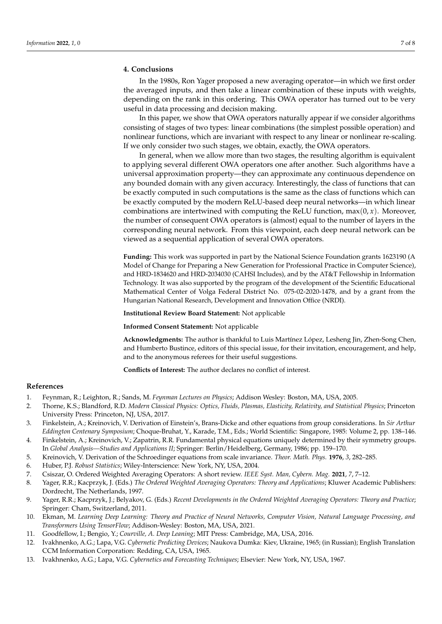## **4. Conclusions**

In the 1980s, Ron Yager proposed a new averaging operator—in which we first order the averaged inputs, and then take a linear combination of these inputs with weights, depending on the rank in this ordering. This OWA operator has turned out to be very useful in data processing and decision making.

In this paper, we show that OWA operators naturally appear if we consider algorithms consisting of stages of two types: linear combinations (the simplest possible operation) and nonlinear functions, which are invariant with respect to any linear or nonlinear re-scaling. If we only consider two such stages, we obtain, exactly, the OWA operators.

In general, when we allow more than two stages, the resulting algorithm is equivalent to applying several different OWA operators one after another. Such algorithms have a universal approximation property—they can approximate any continuous dependence on any bounded domain with any given accuracy. Interestingly, the class of functions that can be exactly computed in such computations is the same as the class of functions which can be exactly computed by the modern ReLU-based deep neural networks—in which linear combinations are intertwined with computing the ReLU function,  $max(0, x)$ . Moreover, the number of consequent OWA operators is (almost) equal to the number of layers in the corresponding neural network. From this viewpoint, each deep neural network can be viewed as a sequential application of several OWA operators.

**Funding:** This work was supported in part by the National Science Foundation grants 1623190 (A Model of Change for Preparing a New Generation for Professional Practice in Computer Science), and HRD-1834620 and HRD-2034030 (CAHSI Includes), and by the AT&T Fellowship in Information Technology. It was also supported by the program of the development of the Scientific Educational Mathematical Center of Volga Federal District No. 075-02-2020-1478, and by a grant from the Hungarian National Research, Development and Innovation Office (NRDI).

**Institutional Review Board Statement:** Not applicable

**Informed Consent Statement:** Not applicable

**Acknowledgments:** The author is thankful to Luis Martínez López, Lesheng Jin, Zhen-Song Chen, and Humberto Bustince, editors of this special issue, for their invitation, encouragement, and help, and to the anonymous referees for their useful suggestions.

**Conflicts of Interest:** The author declares no conflict of interest.

# **References**

- <span id="page-7-0"></span>1. Feynman, R.; Leighton, R.; Sands, M. *Feynman Lectures on Physics*; Addison Wesley: Boston, MA, USA, 2005.
- <span id="page-7-1"></span>2. Thorne, K.S.; Blandford, R.D. *Modern Classical Physics: Optics, Fluids, Plasmas, Elasticity, Relativity, and Statistical Physics*; Princeton University Press: Princeton, NJ, USA, 2017.
- <span id="page-7-2"></span>3. Finkelstein, A.; Kreinovich, V. Derivation of Einstein's, Brans-Dicke and other equations from group considerations. In *Sir Arthur Eddington Centenary Symposium*; Choque-Bruhat, Y., Karade, T.M., Eds.; World Scientific: Singapore, 1985: Volume 2, pp. 138–146.
- 4. Finkelstein, A.; Kreinovich, V.; Zapatrin, R.R. Fundamental physical equations uniquely determined by their symmetry groups. In *Global Analysis—Studies and Applications II*; Springer: Berlin/Heidelberg, Germany, 1986; pp. 159–170.
- <span id="page-7-3"></span>5. Kreinovich, V. Derivation of the Schroedinger equations from scale invariance. *Theor. Math. Phys.* **1976**, *3*, 282–285.
- <span id="page-7-4"></span>6. Huber, P.J. *Robust Statistics*; Wiley-Interscience: New York, NY, USA, 2004.
- <span id="page-7-5"></span>7. Csiszar, O. Ordered Weighted Averaging Operators: A short review. *IEEE Syst. Man, Cybern. Mag.* **2021**, *7*, 7–12.
- 8. Yager, R.R.; Kacprzyk, J. (Eds.) *The Ordered Weighted Averaging Operators: Theory and Applications*; Kluwer Academic Publishers: Dordrecht, The Netherlands, 1997.
- <span id="page-7-6"></span>9. Yager, R.R.; Kacprzyk, J.; Belyakov, G. (Eds.) *Recent Developments in the Ordered Weighted Averaging Operators: Theory and Practice*; Springer: Cham, Switzerland, 2011.
- <span id="page-7-7"></span>10. Ekman, M. *Learning Deep Learning: Theory and Practice of Neural Networks, Computer Vision, Natural Language Processing, and Transformers Using TensorFlow*; Addison-Wesley: Boston, MA, USA, 2021.
- <span id="page-7-8"></span>11. Goodfellow, I.; Bengio, Y.; *Courville, A. Deep Leaning*; MIT Press: Cambridge, MA, USA, 2016.
- <span id="page-7-9"></span>12. Ivakhnenko, A.G.; Lapa, V.G. *Cybernetic Predicting Devices*; Naukova Dumka: Kiev, Ukraine, 1965; (in Russian); English Translation CCM Information Corporation: Redding, CA, USA, 1965.
- <span id="page-7-10"></span>13. Ivakhnenko, A.G.; Lapa, V.G. *Cybernetics and Forecasting Techniques*; Elsevier: New York, NY, USA, 1967.